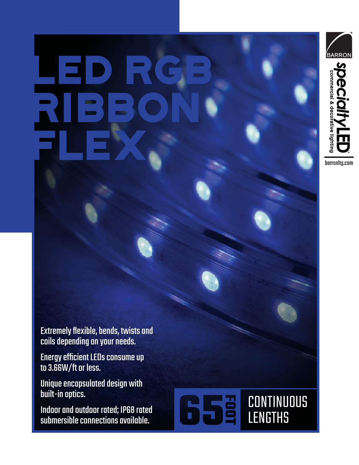# LED rgb RIBBON FLEX



Extremely flexible, bends, twists and coils depending on your needs.

Energy efficient LEDs consume up to 3.66W/ft or less.

Unique encapsulated design with built-in optics.

Indoor and outdoor rated; IP68 rated submersible connections available.